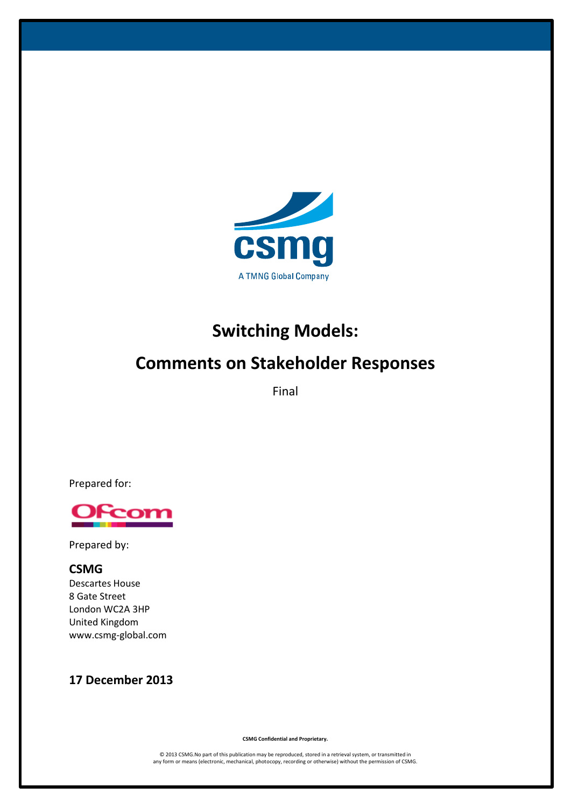

# **Switching Models:**

# **Comments on Stakeholder Responses**

Final

Prepared for:



Prepared by:

# **CSMG** Descartes House

8 Gate Street London WC2A 3HP United Kingdom www.csmg-global.com

# **17 December 2013**

**CSMG Confidential and Proprietary.**

© 2013 CSMG.No part of this publication may be reproduced, stored in a retrieval system, or transmitted in any form or means (electronic, mechanical, photocopy, recording or otherwise) without the permission of CSMG.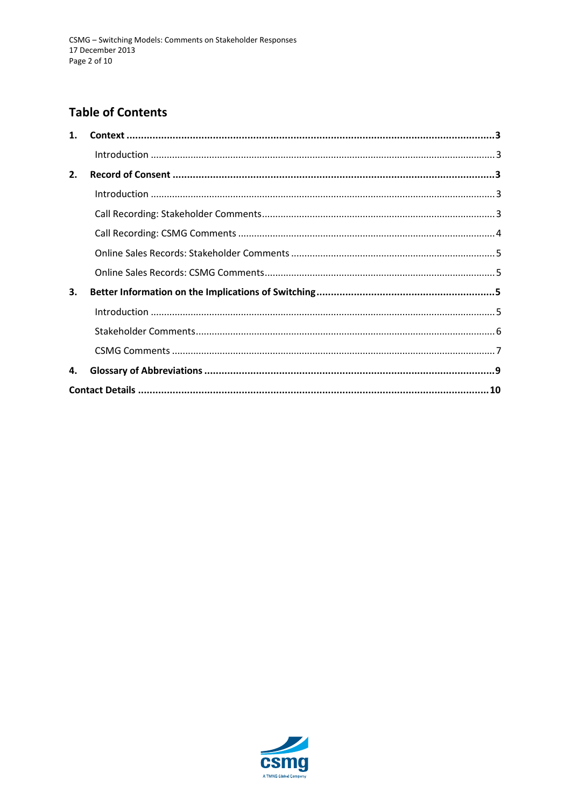# **Table of Contents**

| $\mathbf{1}$ . |  |  |  |
|----------------|--|--|--|
|                |  |  |  |
| 2.             |  |  |  |
|                |  |  |  |
|                |  |  |  |
|                |  |  |  |
|                |  |  |  |
|                |  |  |  |
| 3.             |  |  |  |
|                |  |  |  |
|                |  |  |  |
|                |  |  |  |
| 4.             |  |  |  |
|                |  |  |  |
|                |  |  |  |

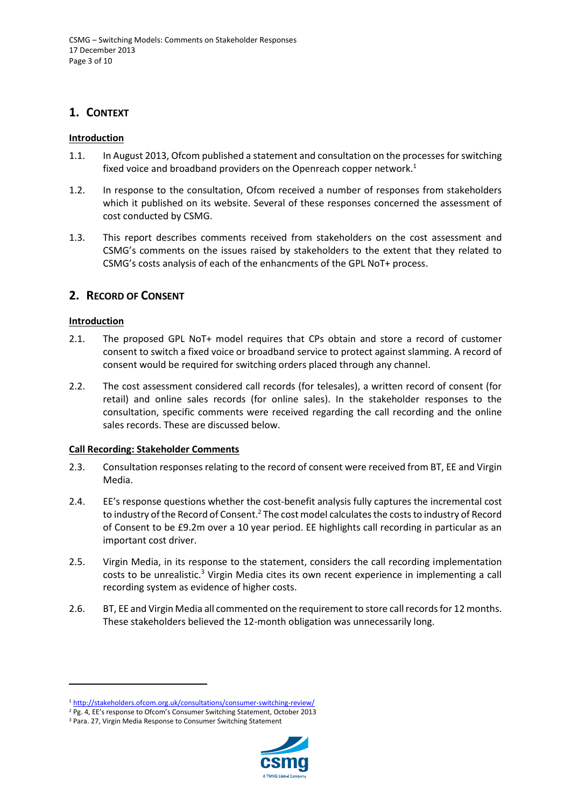# <span id="page-2-0"></span>**1. CONTEXT**

#### <span id="page-2-1"></span>**Introduction**

- 1.1. In August 2013, Ofcom published a statement and consultation on the processes for switching fixed voice and broadband providers on the Openreach copper network.<sup>1</sup>
- 1.2. In response to the consultation, Ofcom received a number of responses from stakeholders which it published on its website. Several of these responses concerned the assessment of cost conducted by CSMG.
- 1.3. This report describes comments received from stakeholders on the cost assessment and CSMG's comments on the issues raised by stakeholders to the extent that they related to CSMG's costs analysis of each of the enhancments of the GPL NoT+ process.

## <span id="page-2-2"></span>**2. RECORD OF CONSENT**

#### <span id="page-2-3"></span>**Introduction**

 $\overline{a}$ 

- 2.1. The proposed GPL NoT+ model requires that CPs obtain and store a record of customer consent to switch a fixed voice or broadband service to protect against slamming. A record of consent would be required for switching orders placed through any channel.
- 2.2. The cost assessment considered call records (for telesales), a written record of consent (for retail) and online sales records (for online sales). In the stakeholder responses to the consultation, specific comments were received regarding the call recording and the online sales records. These are discussed below.

#### <span id="page-2-4"></span>**Call Recording: Stakeholder Comments**

- 2.3. Consultation responses relating to the record of consent were received from BT, EE and Virgin Media.
- 2.4. EE's response questions whether the cost-benefit analysis fully captures the incremental cost to industry of the Record of Consent.<sup>2</sup> The cost model calculates the costs to industry of Record of Consent to be £9.2m over a 10 year period. EE highlights call recording in particular as an important cost driver.
- 2.5. Virgin Media, in its response to the statement, considers the call recording implementation costs to be unrealistic.<sup>3</sup> Virgin Media cites its own recent experience in implementing a call recording system as evidence of higher costs.
- 2.6. BT, EE and Virgin Media all commented on the requirement to store call records for 12 months. These stakeholders believed the 12-month obligation was unnecessarily long.

<sup>3</sup> Para. 27, Virgin Media Response to Consumer Switching Statement



<sup>1</sup> <http://stakeholders.ofcom.org.uk/consultations/consumer-switching-review/>

<sup>&</sup>lt;sup>2</sup> Pg. 4, EE's response to Ofcom's Consumer Switching Statement, October 2013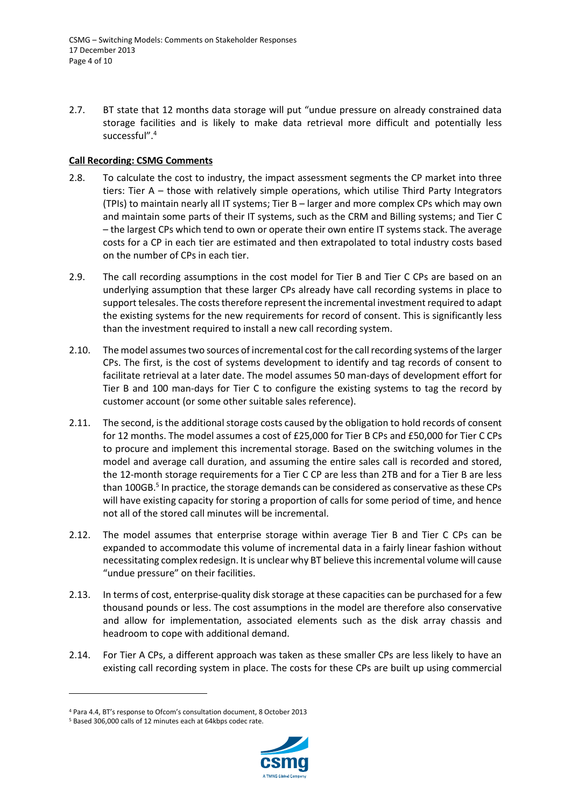2.7. BT state that 12 months data storage will put "undue pressure on already constrained data storage facilities and is likely to make data retrieval more difficult and potentially less successful". 4

#### <span id="page-3-0"></span>**Call Recording: CSMG Comments**

- <span id="page-3-2"></span>2.8. To calculate the cost to industry, the impact assessment segments the CP market into three tiers: Tier A – those with relatively simple operations, which utilise Third Party Integrators (TPIs) to maintain nearly all IT systems; Tier B – larger and more complex CPs which may own and maintain some parts of their IT systems, such as the CRM and Billing systems; and Tier C – the largest CPs which tend to own or operate their own entire IT systems stack. The average costs for a CP in each tier are estimated and then extrapolated to total industry costs based on the number of CPs in each tier.
- 2.9. The call recording assumptions in the cost model for Tier B and Tier C CPs are based on an underlying assumption that these larger CPs already have call recording systems in place to support telesales. The costs therefore represent the incremental investment required to adapt the existing systems for the new requirements for record of consent. This is significantly less than the investment required to install a new call recording system.
- 2.10. The model assumes two sources of incremental cost for the call recording systems of the larger CPs. The first, is the cost of systems development to identify and tag records of consent to facilitate retrieval at a later date. The model assumes 50 man-days of development effort for Tier B and 100 man-days for Tier C to configure the existing systems to tag the record by customer account (or some other suitable sales reference).
- 2.11. The second, is the additional storage costs caused by the obligation to hold records of consent for 12 months. The model assumes a cost of £25,000 for Tier B CPs and £50,000 for Tier C CPs to procure and implement this incremental storage. Based on the switching volumes in the model and average call duration, and assuming the entire sales call is recorded and stored, the 12-month storage requirements for a Tier C CP are less than 2TB and for a Tier B are less than 100GB. 5 In practice, the storage demands can be considered as conservative as these CPs will have existing capacity for storing a proportion of calls for some period of time, and hence not all of the stored call minutes will be incremental.
- 2.12. The model assumes that enterprise storage within average Tier B and Tier C CPs can be expanded to accommodate this volume of incremental data in a fairly linear fashion without necessitating complex redesign. It is unclear why BT believe this incremental volume will cause "undue pressure" on their facilities.
- <span id="page-3-1"></span>2.13. In terms of cost, enterprise-quality disk storage at these capacities can be purchased for a few thousand pounds or less. The cost assumptions in the model are therefore also conservative and allow for implementation, associated elements such as the disk array chassis and headroom to cope with additional demand.
- 2.14. For Tier A CPs, a different approach was taken as these smaller CPs are less likely to have an existing call recording system in place. The costs for these CPs are built up using commercial

1



<sup>4</sup> Para 4.4, BT's response to Ofcom's consultation document, 8 October 2013

<sup>5</sup> Based 306,000 calls of 12 minutes each at 64kbps codec rate.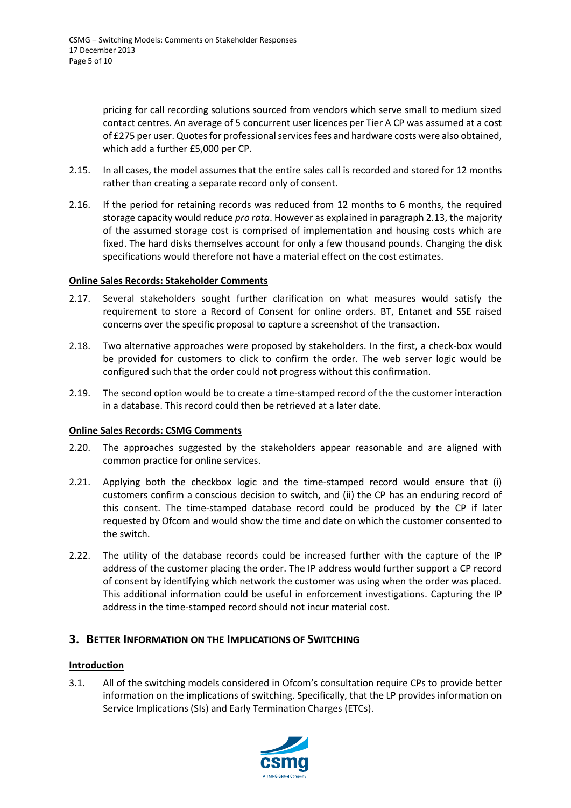pricing for call recording solutions sourced from vendors which serve small to medium sized contact centres. An average of 5 concurrent user licences per Tier A CP was assumed at a cost of £275 per user. Quotes for professional services fees and hardware costs were also obtained, which add a further £5,000 per CP.

- 2.15. In all cases, the model assumes that the entire sales call is recorded and stored for 12 months rather than creating a separate record only of consent.
- 2.16. If the period for retaining records was reduced from 12 months to 6 months, the required storage capacity would reduce *pro rata*. However as explained in paragraph [2.13,](#page-3-1) the majority of the assumed storage cost is comprised of implementation and housing costs which are fixed. The hard disks themselves account for only a few thousand pounds. Changing the disk specifications would therefore not have a material effect on the cost estimates.

#### <span id="page-4-0"></span>**Online Sales Records: Stakeholder Comments**

- 2.17. Several stakeholders sought further clarification on what measures would satisfy the requirement to store a Record of Consent for online orders. BT, Entanet and SSE raised concerns over the specific proposal to capture a screenshot of the transaction.
- 2.18. Two alternative approaches were proposed by stakeholders. In the first, a check-box would be provided for customers to click to confirm the order. The web server logic would be configured such that the order could not progress without this confirmation.
- 2.19. The second option would be to create a time-stamped record of the the customer interaction in a database. This record could then be retrieved at a later date.

#### <span id="page-4-1"></span>**Online Sales Records: CSMG Comments**

- 2.20. The approaches suggested by the stakeholders appear reasonable and are aligned with common practice for online services.
- 2.21. Applying both the checkbox logic and the time-stamped record would ensure that (i) customers confirm a conscious decision to switch, and (ii) the CP has an enduring record of this consent. The time-stamped database record could be produced by the CP if later requested by Ofcom and would show the time and date on which the customer consented to the switch.
- 2.22. The utility of the database records could be increased further with the capture of the IP address of the customer placing the order. The IP address would further support a CP record of consent by identifying which network the customer was using when the order was placed. This additional information could be useful in enforcement investigations. Capturing the IP address in the time-stamped record should not incur material cost.

## <span id="page-4-2"></span>**3. BETTER INFORMATION ON THE IMPLICATIONS OF SWITCHING**

#### <span id="page-4-3"></span>**Introduction**

3.1. All of the switching models considered in Ofcom's consultation require CPs to provide better information on the implications of switching. Specifically, that the LP provides information on Service Implications (SIs) and Early Termination Charges (ETCs).

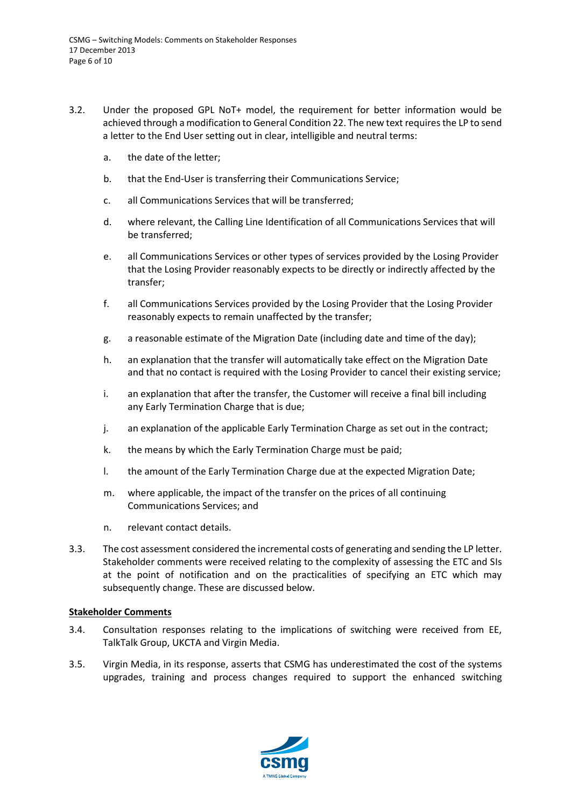- 3.2. Under the proposed GPL NoT+ model, the requirement for better information would be achieved through a modification to General Condition 22. The new text requires the LP to send a letter to the End User setting out in clear, intelligible and neutral terms:
	- a. the date of the letter;
	- b. that the End-User is transferring their Communications Service;
	- c. all Communications Services that will be transferred;
	- d. where relevant, the Calling Line Identification of all Communications Services that will be transferred;
	- e. all Communications Services or other types of services provided by the Losing Provider that the Losing Provider reasonably expects to be directly or indirectly affected by the transfer;
	- f. all Communications Services provided by the Losing Provider that the Losing Provider reasonably expects to remain unaffected by the transfer;
	- g. a reasonable estimate of the Migration Date (including date and time of the day);
	- h. an explanation that the transfer will automatically take effect on the Migration Date and that no contact is required with the Losing Provider to cancel their existing service;
	- i. an explanation that after the transfer, the Customer will receive a final bill including any Early Termination Charge that is due;
	- j. an explanation of the applicable Early Termination Charge as set out in the contract;
	- k. the means by which the Early Termination Charge must be paid;
	- l. the amount of the Early Termination Charge due at the expected Migration Date;
	- m. where applicable, the impact of the transfer on the prices of all continuing Communications Services; and
	- n. relevant contact details.
- 3.3. The cost assessment considered the incremental costs of generating and sending the LP letter. Stakeholder comments were received relating to the complexity of assessing the ETC and SIs at the point of notification and on the practicalities of specifying an ETC which may subsequently change. These are discussed below.

#### <span id="page-5-0"></span>**Stakeholder Comments**

- 3.4. Consultation responses relating to the implications of switching were received from EE, TalkTalk Group, UKCTA and Virgin Media.
- 3.5. Virgin Media, in its response, asserts that CSMG has underestimated the cost of the systems upgrades, training and process changes required to support the enhanced switching

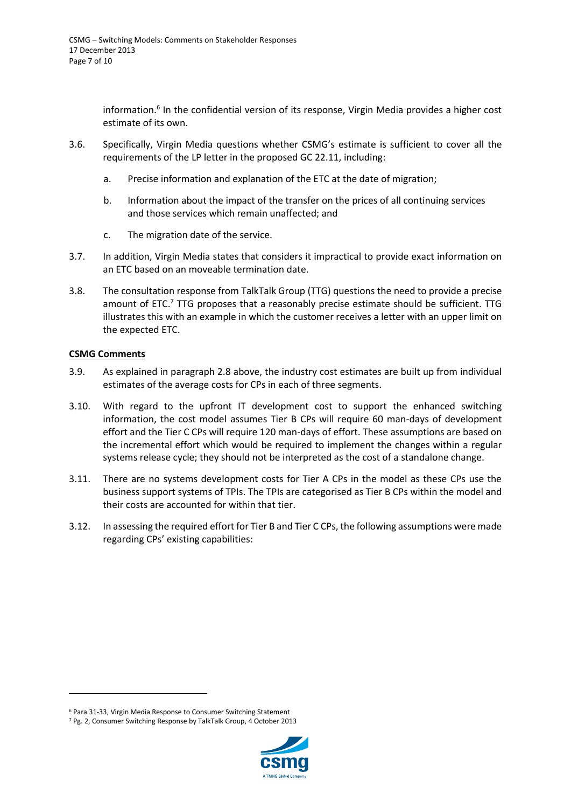information.<sup>6</sup> In the confidential version of its response, Virgin Media provides a higher cost estimate of its own.

- 3.6. Specifically, Virgin Media questions whether CSMG's estimate is sufficient to cover all the requirements of the LP letter in the proposed GC 22.11, including:
	- a. Precise information and explanation of the ETC at the date of migration;
	- b. Information about the impact of the transfer on the prices of all continuing services and those services which remain unaffected; and
	- c. The migration date of the service.
- 3.7. In addition, Virgin Media states that considers it impractical to provide exact information on an ETC based on an moveable termination date.
- 3.8. The consultation response from TalkTalk Group (TTG) questions the need to provide a precise amount of ETC.<sup>7</sup> TTG proposes that a reasonably precise estimate should be sufficient. TTG illustrates this with an example in which the customer receives a letter with an upper limit on the expected ETC.

#### <span id="page-6-0"></span>**CSMG Comments**

1

- 3.9. As explained in paragrap[h 2.8](#page-3-2) above, the industry cost estimates are built up from individual estimates of the average costs for CPs in each of three segments.
- 3.10. With regard to the upfront IT development cost to support the enhanced switching information, the cost model assumes Tier B CPs will require 60 man-days of development effort and the Tier C CPs will require 120 man-days of effort. These assumptions are based on the incremental effort which would be required to implement the changes within a regular systems release cycle; they should not be interpreted as the cost of a standalone change.
- 3.11. There are no systems development costs for Tier A CPs in the model as these CPs use the business support systems of TPIs. The TPIs are categorised as Tier B CPs within the model and their costs are accounted for within that tier.
- 3.12. In assessing the required effort for Tier B and Tier C CPs, the following assumptions were made regarding CPs' existing capabilities:

<sup>7</sup> Pg. 2, Consumer Switching Response by TalkTalk Group, 4 October 2013



<sup>6</sup> Para 31-33, Virgin Media Response to Consumer Switching Statement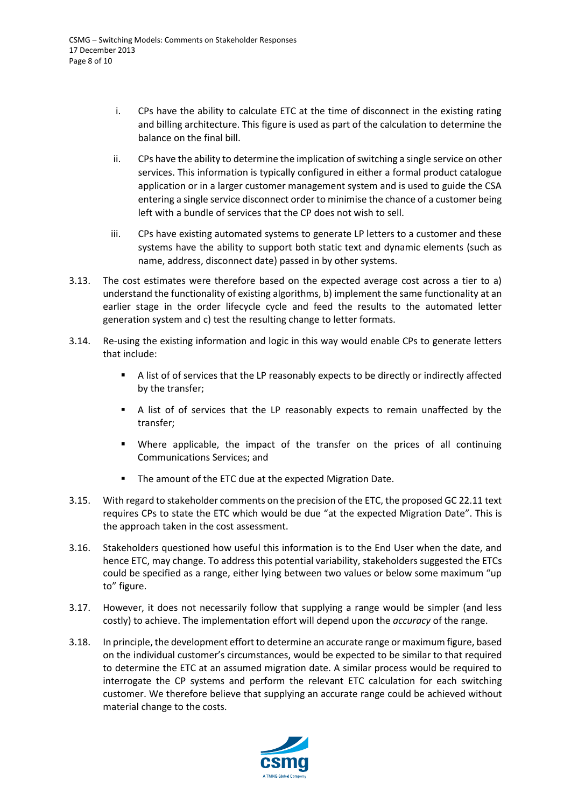- i. CPs have the ability to calculate ETC at the time of disconnect in the existing rating and billing architecture. This figure is used as part of the calculation to determine the balance on the final bill.
- ii. CPs have the ability to determine the implication of switching a single service on other services. This information is typically configured in either a formal product catalogue application or in a larger customer management system and is used to guide the CSA entering a single service disconnect order to minimise the chance of a customer being left with a bundle of services that the CP does not wish to sell.
- iii. CPs have existing automated systems to generate LP letters to a customer and these systems have the ability to support both static text and dynamic elements (such as name, address, disconnect date) passed in by other systems.
- 3.13. The cost estimates were therefore based on the expected average cost across a tier to a) understand the functionality of existing algorithms, b) implement the same functionality at an earlier stage in the order lifecycle cycle and feed the results to the automated letter generation system and c) test the resulting change to letter formats.
- 3.14. Re-using the existing information and logic in this way would enable CPs to generate letters that include:
	- A list of of services that the LP reasonably expects to be directly or indirectly affected by the transfer;
	- A list of of services that the LP reasonably expects to remain unaffected by the transfer;
	- Where applicable, the impact of the transfer on the prices of all continuing Communications Services; and
	- The amount of the ETC due at the expected Migration Date.
- 3.15. With regard to stakeholder comments on the precision of the ETC, the proposed GC 22.11 text requires CPs to state the ETC which would be due "at the expected Migration Date". This is the approach taken in the cost assessment.
- 3.16. Stakeholders questioned how useful this information is to the End User when the date, and hence ETC, may change. To address this potential variability, stakeholders suggested the ETCs could be specified as a range, either lying between two values or below some maximum "up to" figure.
- 3.17. However, it does not necessarily follow that supplying a range would be simpler (and less costly) to achieve. The implementation effort will depend upon the *accuracy* of the range.
- 3.18. In principle, the development effort to determine an accurate range or maximum figure, based on the individual customer's circumstances, would be expected to be similar to that required to determine the ETC at an assumed migration date. A similar process would be required to interrogate the CP systems and perform the relevant ETC calculation for each switching customer. We therefore believe that supplying an accurate range could be achieved without material change to the costs.

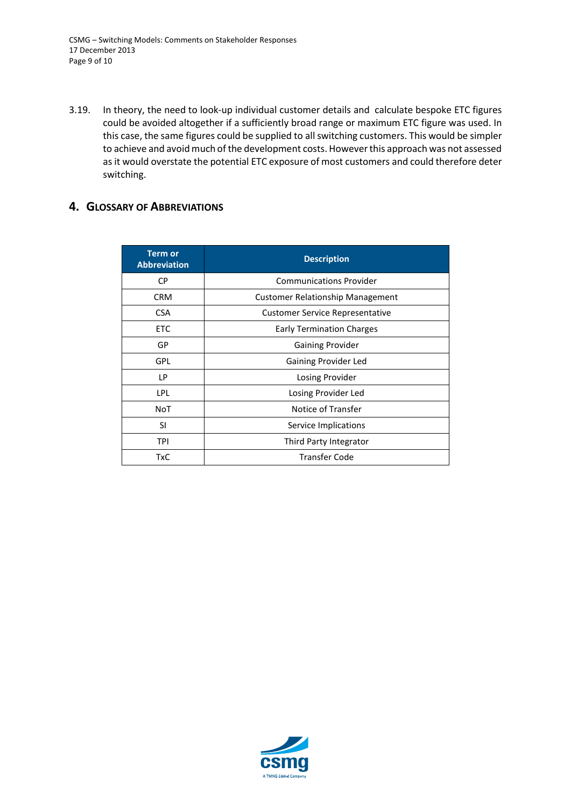3.19. In theory, the need to look-up individual customer details and calculate bespoke ETC figures could be avoided altogether if a sufficiently broad range or maximum ETC figure was used. In this case, the same figures could be supplied to all switching customers. This would be simpler to achieve and avoid much of the development costs. However this approach was not assessed as it would overstate the potential ETC exposure of most customers and could therefore deter switching.

### <span id="page-8-0"></span>**4. GLOSSARY OF ABBREVIATIONS**

| <b>Term or</b><br><b>Abbreviation</b> | <b>Description</b>                     |
|---------------------------------------|----------------------------------------|
| СP                                    | <b>Communications Provider</b>         |
| <b>CRM</b>                            | Customer Relationship Management       |
| <b>CSA</b>                            | <b>Customer Service Representative</b> |
| ETC                                   | <b>Early Termination Charges</b>       |
| GP                                    | <b>Gaining Provider</b>                |
| <b>GPL</b>                            | Gaining Provider Led                   |
| LP.                                   | Losing Provider                        |
| <b>LPL</b>                            | Losing Provider Led                    |
| <b>NoT</b>                            | Notice of Transfer                     |
| <b>SI</b>                             | Service Implications                   |
| TPI                                   | Third Party Integrator                 |
| TxC                                   | <b>Transfer Code</b>                   |